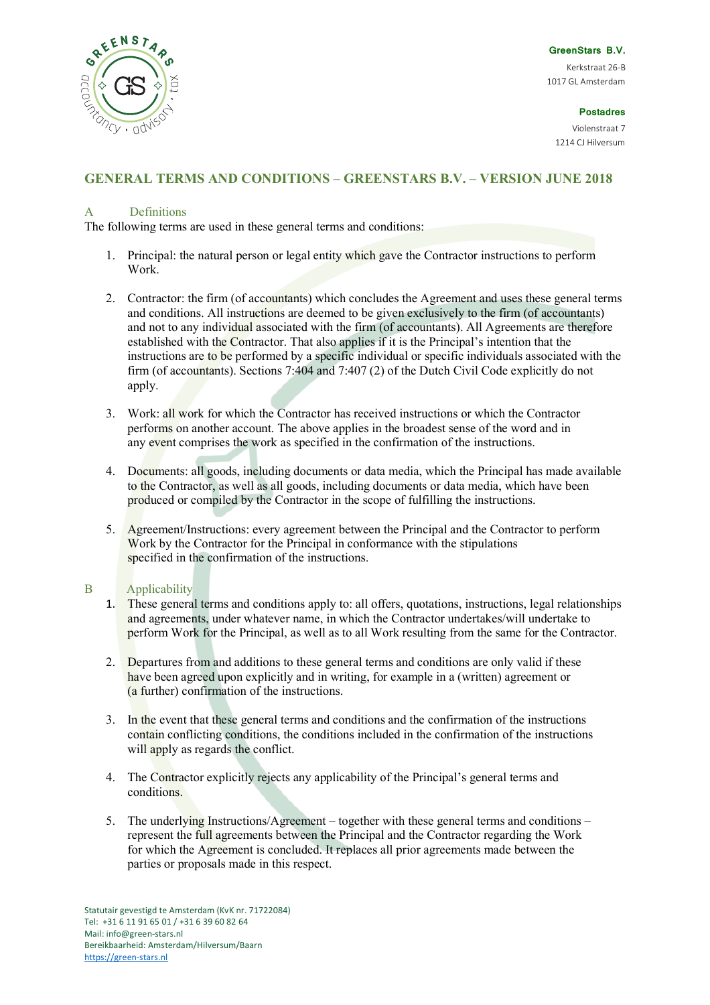

**GreenStars B.V.**

Kerkstraat 26-B 1017 GL Amsterdam

**Postadres** 

Violenstraat 7 1214 CJ Hilversum

# **GENERAL TERMS AND CONDITIONS – GREENSTARS B.V. – VERSION JUNE 2018**

# A Definitions

The following terms are used in these general terms and conditions:

- 1. Principal: the natural person or legal entity which gave the Contractor instructions to perform Work.
- 2. Contractor: the firm (of accountants) which concludes the Agreement and uses these general terms and conditions. All instructions are deemed to be given exclusively to the firm (of accountants) and not to any individual associated with the firm (of accountants). All Agreements are therefore established with the Contractor. That also applies if it is the Principal's intention that the instructions are to be performed by a specific individual or specific individuals associated with the firm (of accountants). Sections 7:404 and 7:407 (2) of the Dutch Civil Code explicitly do not apply.
- 3. Work: all work for which the Contractor has received instructions or which the Contractor performs on another account. The above applies in the broadest sense of the word and in any event comprises the work as specified in the confirmation of the instructions.
- 4. Documents: all goods, including documents or data media, which the Principal has made available to the Contractor, as well as all goods, including documents or data media, which have been produced or compiled by the Contractor in the scope of fulfilling the instructions.
- 5. Agreement/Instructions: every agreement between the Principal and the Contractor to perform Work by the Contractor for the Principal in conformance with the stipulations specified in the confirmation of the instructions.

### B Applicability

- 1. These general terms and conditions apply to: all offers, quotations, instructions, legal relationships and agreements, under whatever name, in which the Contractor undertakes/will undertake to perform Work for the Principal, as well as to all Work resulting from the same for the Contractor.
- 2. Departures from and additions to these general terms and conditions are only valid if these have been agreed upon explicitly and in writing, for example in a (written) agreement or (a further) confirmation of the instructions.
- 3. In the event that these general terms and conditions and the confirmation of the instructions contain conflicting conditions, the conditions included in the confirmation of the instructions will apply as regards the conflict.
- 4. The Contractor explicitly rejects any applicability of the Principal's general terms and conditions.
- 5. The underlying Instructions/Agreement together with these general terms and conditions represent the full agreements between the Principal and the Contractor regarding the Work for which the Agreement is concluded. It replaces all prior agreements made between the parties or proposals made in this respect.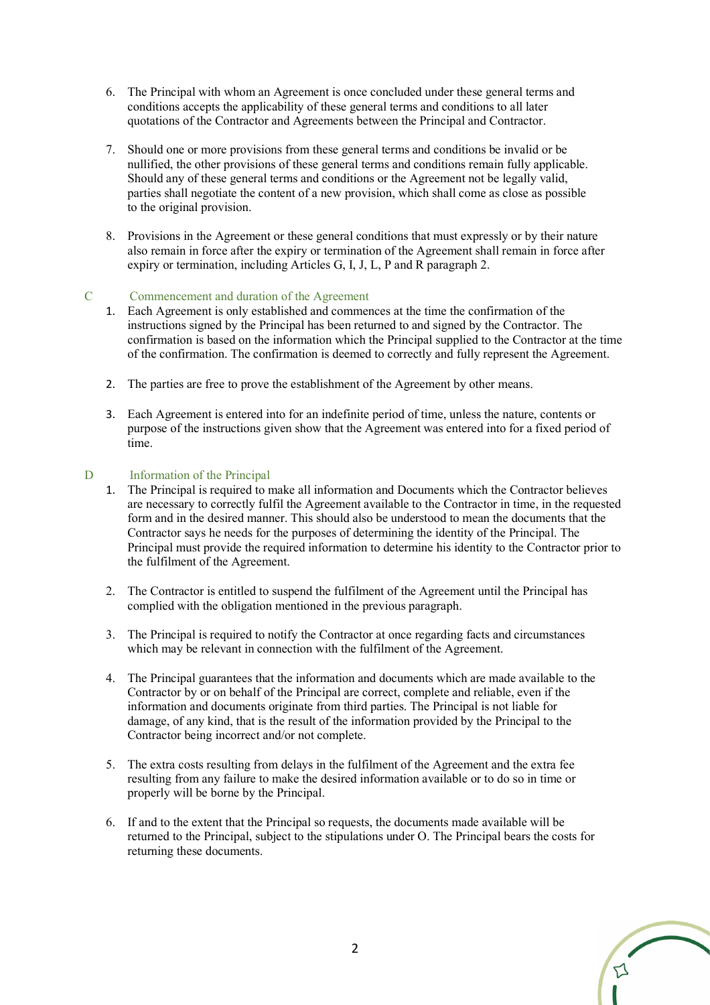- 6. The Principal with whom an Agreement is once concluded under these general terms and conditions accepts the applicability of these general terms and conditions to all later quotations of the Contractor and Agreements between the Principal and Contractor.
- 7. Should one or more provisions from these general terms and conditions be invalid or be nullified, the other provisions of these general terms and conditions remain fully applicable. Should any of these general terms and conditions or the Agreement not be legally valid, parties shall negotiate the content of a new provision, which shall come as close as possible to the original provision.
- 8. Provisions in the Agreement or these general conditions that must expressly or by their nature also remain in force after the expiry or termination of the Agreement shall remain in force after expiry or termination, including Articles G, I, J, L, P and R paragraph 2.

### C Commencement and duration of the Agreement

- 1. Each Agreement is only established and commences at the time the confirmation of the instructions signed by the Principal has been returned to and signed by the Contractor. The confirmation is based on the information which the Principal supplied to the Contractor at the time of the confirmation. The confirmation is deemed to correctly and fully represent the Agreement.
- 2. The parties are free to prove the establishment of the Agreement by other means.
- 3. Each Agreement is entered into for an indefinite period of time, unless the nature, contents or purpose of the instructions given show that the Agreement was entered into for a fixed period of time.

#### D Information of the Principal

- 1. The Principal is required to make all information and Documents which the Contractor believes are necessary to correctly fulfil the Agreement available to the Contractor in time, in the requested form and in the desired manner. This should also be understood to mean the documents that the Contractor says he needs for the purposes of determining the identity of the Principal. The Principal must provide the required information to determine his identity to the Contractor prior to the fulfilment of the Agreement.
- 2. The Contractor is entitled to suspend the fulfilment of the Agreement until the Principal has complied with the obligation mentioned in the previous paragraph.
- 3. The Principal is required to notify the Contractor at once regarding facts and circumstances which may be relevant in connection with the fulfilment of the Agreement.
- 4. The Principal guarantees that the information and documents which are made available to the Contractor by or on behalf of the Principal are correct, complete and reliable, even if the information and documents originate from third parties. The Principal is not liable for damage, of any kind, that is the result of the information provided by the Principal to the Contractor being incorrect and/or not complete.
- 5. The extra costs resulting from delays in the fulfilment of the Agreement and the extra fee resulting from any failure to make the desired information available or to do so in time or properly will be borne by the Principal.
- 6. If and to the extent that the Principal so requests, the documents made available will be returned to the Principal, subject to the stipulations under O. The Principal bears the costs for returning these documents.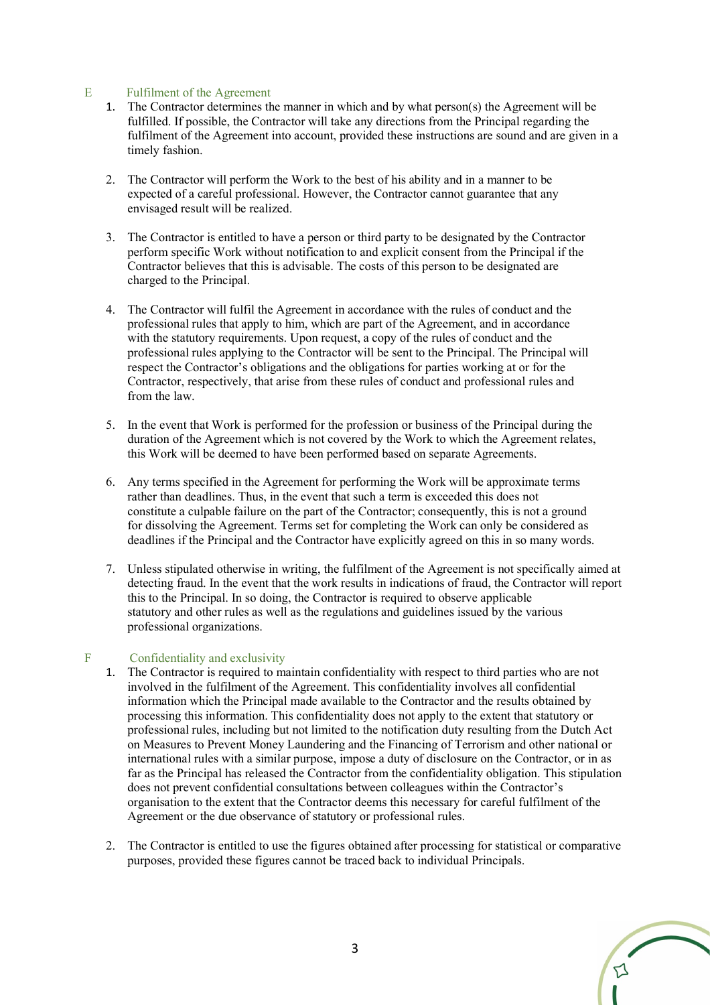# E Fulfilment of the Agreement

- 1. The Contractor determines the manner in which and by what person(s) the Agreement will be fulfilled. If possible, the Contractor will take any directions from the Principal regarding the fulfilment of the Agreement into account, provided these instructions are sound and are given in a timely fashion.
- 2. The Contractor will perform the Work to the best of his ability and in a manner to be expected of a careful professional. However, the Contractor cannot guarantee that any envisaged result will be realized.
- 3. The Contractor is entitled to have a person or third party to be designated by the Contractor perform specific Work without notification to and explicit consent from the Principal if the Contractor believes that this is advisable. The costs of this person to be designated are charged to the Principal.
- 4. The Contractor will fulfil the Agreement in accordance with the rules of conduct and the professional rules that apply to him, which are part of the Agreement, and in accordance with the statutory requirements. Upon request, a copy of the rules of conduct and the professional rules applying to the Contractor will be sent to the Principal. The Principal will respect the Contractor's obligations and the obligations for parties working at or for the Contractor, respectively, that arise from these rules of conduct and professional rules and from the law.
- 5. In the event that Work is performed for the profession or business of the Principal during the duration of the Agreement which is not covered by the Work to which the Agreement relates, this Work will be deemed to have been performed based on separate Agreements.
- 6. Any terms specified in the Agreement for performing the Work will be approximate terms rather than deadlines. Thus, in the event that such a term is exceeded this does not constitute a culpable failure on the part of the Contractor; consequently, this is not a ground for dissolving the Agreement. Terms set for completing the Work can only be considered as deadlines if the Principal and the Contractor have explicitly agreed on this in so many words.
- 7. Unless stipulated otherwise in writing, the fulfilment of the Agreement is not specifically aimed at detecting fraud. In the event that the work results in indications of fraud, the Contractor will report this to the Principal. In so doing, the Contractor is required to observe applicable statutory and other rules as well as the regulations and guidelines issued by the various professional organizations.

### F Confidentiality and exclusivity

- 1. The Contractor is required to maintain confidentiality with respect to third parties who are not involved in the fulfilment of the Agreement. This confidentiality involves all confidential information which the Principal made available to the Contractor and the results obtained by processing this information. This confidentiality does not apply to the extent that statutory or professional rules, including but not limited to the notification duty resulting from the Dutch Act on Measures to Prevent Money Laundering and the Financing of Terrorism and other national or international rules with a similar purpose, impose a duty of disclosure on the Contractor, or in as far as the Principal has released the Contractor from the confidentiality obligation. This stipulation does not prevent confidential consultations between colleagues within the Contractor's organisation to the extent that the Contractor deems this necessary for careful fulfilment of the Agreement or the due observance of statutory or professional rules.
- 2. The Contractor is entitled to use the figures obtained after processing for statistical or comparative purposes, provided these figures cannot be traced back to individual Principals.

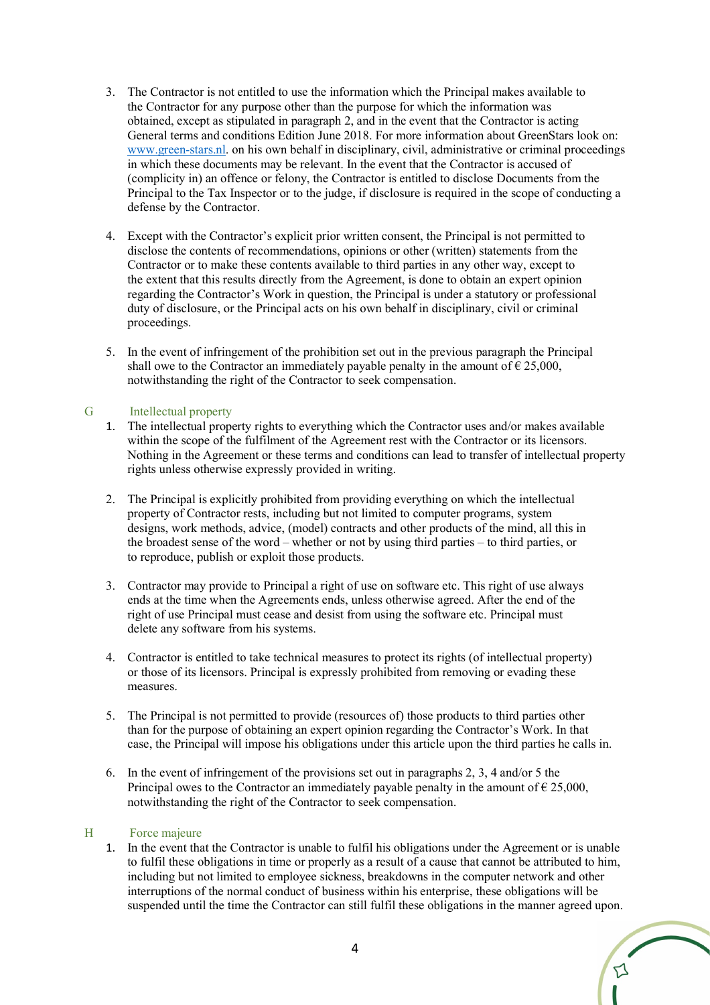- 3. The Contractor is not entitled to use the information which the Principal makes available to the Contractor for any purpose other than the purpose for which the information was obtained, except as stipulated in paragraph 2, and in the event that the Contractor is acting General terms and conditions Edition June 2018. For more information about GreenStars look on: www.green-stars.nl. on his own behalf in disciplinary, civil, administrative or criminal proceedings in which these documents may be relevant. In the event that the Contractor is accused of (complicity in) an offence or felony, the Contractor is entitled to disclose Documents from the Principal to the Tax Inspector or to the judge, if disclosure is required in the scope of conducting a defense by the Contractor.
- 4. Except with the Contractor's explicit prior written consent, the Principal is not permitted to disclose the contents of recommendations, opinions or other (written) statements from the Contractor or to make these contents available to third parties in any other way, except to the extent that this results directly from the Agreement, is done to obtain an expert opinion regarding the Contractor's Work in question, the Principal is under a statutory or professional duty of disclosure, or the Principal acts on his own behalf in disciplinary, civil or criminal proceedings.
- 5. In the event of infringement of the prohibition set out in the previous paragraph the Principal shall owe to the Contractor an immediately payable penalty in the amount of  $\epsilon$  25,000, notwithstanding the right of the Contractor to seek compensation.

# G Intellectual property

- 1. The intellectual property rights to everything which the Contractor uses and/or makes available within the scope of the fulfilment of the Agreement rest with the Contractor or its licensors. Nothing in the Agreement or these terms and conditions can lead to transfer of intellectual property rights unless otherwise expressly provided in writing.
- 2. The Principal is explicitly prohibited from providing everything on which the intellectual property of Contractor rests, including but not limited to computer programs, system designs, work methods, advice, (model) contracts and other products of the mind, all this in the broadest sense of the word – whether or not by using third parties – to third parties, or to reproduce, publish or exploit those products.
- 3. Contractor may provide to Principal a right of use on software etc. This right of use always ends at the time when the Agreements ends, unless otherwise agreed. After the end of the right of use Principal must cease and desist from using the software etc. Principal must delete any software from his systems.
- 4. Contractor is entitled to take technical measures to protect its rights (of intellectual property) or those of its licensors. Principal is expressly prohibited from removing or evading these measures.
- 5. The Principal is not permitted to provide (resources of) those products to third parties other than for the purpose of obtaining an expert opinion regarding the Contractor's Work. In that case, the Principal will impose his obligations under this article upon the third parties he calls in.
- 6. In the event of infringement of the provisions set out in paragraphs 2, 3, 4 and/or 5 the Principal owes to the Contractor an immediately payable penalty in the amount of  $\epsilon$  25,000, notwithstanding the right of the Contractor to seek compensation.

### H Force majeure

1. In the event that the Contractor is unable to fulfil his obligations under the Agreement or is unable to fulfil these obligations in time or properly as a result of a cause that cannot be attributed to him, including but not limited to employee sickness, breakdowns in the computer network and other interruptions of the normal conduct of business within his enterprise, these obligations will be suspended until the time the Contractor can still fulfil these obligations in the manner agreed upon.

⊅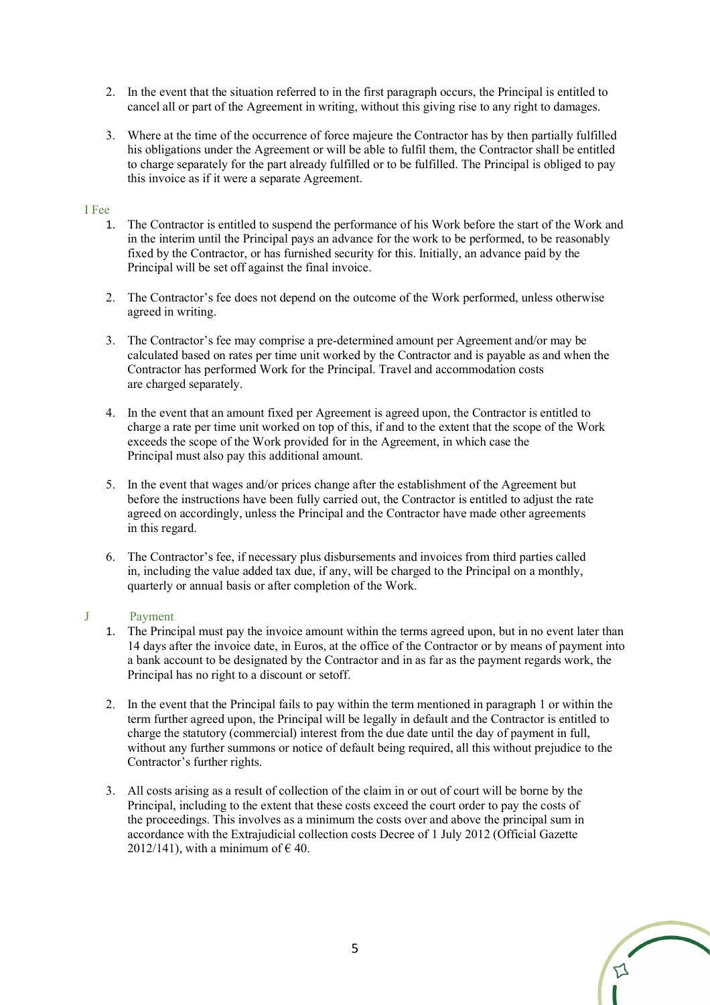- 2. In the event that the situation referred to in the first paragraph occurs, the Principal is entitled to cancel all or part of the Agreement in writing, without this giving rise to any right to damages.
- 3. Where at the time of the occurrence of force majeure the Contractor has by then partially fulfilled his obligations under the Agreement or will be able to fulfil them, the Contractor shall be entitled to charge separately for the part already fulfilled or to be fulfilled. The Principal is obliged to pay this invoice as if it were a separate Agreement.

## I Fee

- 1. The Contractor is entitled to suspend the performance of his Work before the start of the Work and in the interim until the Principal pays an advance for the work to be performed, to be reasonably fixed by the Contractor, or has furnished security for this. Initially, an advance paid by the Principal will be set off against the final invoice.
- 2. The Contractor's fee does not depend on the outcome of the Work performed, unless otherwise agreed in writing.
- 3. The Contractor's fee may comprise a pre-determined amount per Agreement and/or may be calculated based on rates per time unit worked by the Contractor and is payable as and when the Contractor has performed Work for the Principal. Travel and accommodation costs are charged separately.
- 4. In the event that an amount fixed per Agreement is agreed upon, the Contractor is entitled to charge a rate per time unit worked on top of this, if and to the extent that the scope of the Work exceeds the scope of the Work provided for in the Agreement, in which case the Principal must also pay this additional amount.
- 5. In the event that wages and/or prices change after the establishment of the Agreement but before the instructions have been fully carried out, the Contractor is entitled to adjust the rate agreed on accordingly, unless the Principal and the Contractor have made other agreements in this regard.
- 6. The Contractor's fee, if necessary plus disbursements and invoices from third parties called in, including the value added tax due, if any, will be charged to the Principal on a monthly, quarterly or annual basis or after completion of the Work.

#### J Payment

- 1. The Principal must pay the invoice amount within the terms agreed upon, but in no event later than 14 days after the invoice date, in Euros, at the office of the Contractor or by means of payment into a bank account to be designated by the Contractor and in as far as the payment regards work, the Principal has no right to a discount or setoff.
- 2. In the event that the Principal fails to pay within the term mentioned in paragraph 1 or within the term further agreed upon, the Principal will be legally in default and the Contractor is entitled to charge the statutory (commercial) interest from the due date until the day of payment in full, without any further summons or notice of default being required, all this without prejudice to the Contractor's further rights.
- 3. All costs arising as a result of collection of the claim in or out of court will be borne by the Principal, including to the extent that these costs exceed the court order to pay the costs of the proceedings. This involves as a minimum the costs over and above the principal sum in accordance with the Extrajudicial collection costs Decree of 1 July 2012 (Official Gazette 2012/141), with a minimum of  $\epsilon$  40.

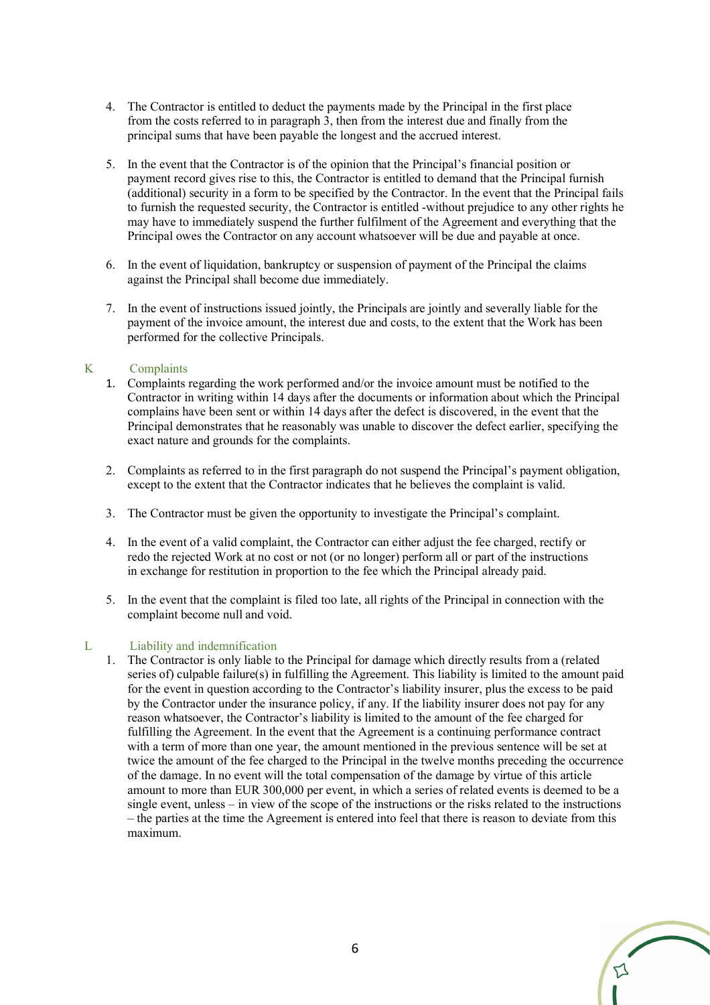- 4. The Contractor is entitled to deduct the payments made by the Principal in the first place from the costs referred to in paragraph 3, then from the interest due and finally from the principal sums that have been payable the longest and the accrued interest.
- 5. In the event that the Contractor is of the opinion that the Principal's financial position or payment record gives rise to this, the Contractor is entitled to demand that the Principal furnish (additional) security in a form to be specified by the Contractor. In the event that the Principal fails to furnish the requested security, the Contractor is entitled -without prejudice to any other rights he may have to immediately suspend the further fulfilment of the Agreement and everything that the Principal owes the Contractor on any account whatsoever will be due and payable at once.
- 6. In the event of liquidation, bankruptcy or suspension of payment of the Principal the claims against the Principal shall become due immediately.
- 7. In the event of instructions issued jointly, the Principals are jointly and severally liable for the payment of the invoice amount, the interest due and costs, to the extent that the Work has been performed for the collective Principals.

### K Complaints

- 1. Complaints regarding the work performed and/or the invoice amount must be notified to the Contractor in writing within 14 days after the documents or information about which the Principal complains have been sent or within 14 days after the defect is discovered, in the event that the Principal demonstrates that he reasonably was unable to discover the defect earlier, specifying the exact nature and grounds for the complaints.
- 2. Complaints as referred to in the first paragraph do not suspend the Principal's payment obligation, except to the extent that the Contractor indicates that he believes the complaint is valid.
- 3. The Contractor must be given the opportunity to investigate the Principal's complaint.
- 4. In the event of a valid complaint, the Contractor can either adjust the fee charged, rectify or redo the rejected Work at no cost or not (or no longer) perform all or part of the instructions in exchange for restitution in proportion to the fee which the Principal already paid.
- 5. In the event that the complaint is filed too late, all rights of the Principal in connection with the complaint become null and void.

#### L Liability and indemnification

1. The Contractor is only liable to the Principal for damage which directly results from a (related series of) culpable failure(s) in fulfilling the Agreement. This liability is limited to the amount paid for the event in question according to the Contractor's liability insurer, plus the excess to be paid by the Contractor under the insurance policy, if any. If the liability insurer does not pay for any reason whatsoever, the Contractor's liability is limited to the amount of the fee charged for fulfilling the Agreement. In the event that the Agreement is a continuing performance contract with a term of more than one year, the amount mentioned in the previous sentence will be set at twice the amount of the fee charged to the Principal in the twelve months preceding the occurrence of the damage. In no event will the total compensation of the damage by virtue of this article amount to more than EUR 300,000 per event, in which a series of related events is deemed to be a single event, unless – in view of the scope of the instructions or the risks related to the instructions – the parties at the time the Agreement is entered into feel that there is reason to deviate from this maximum.

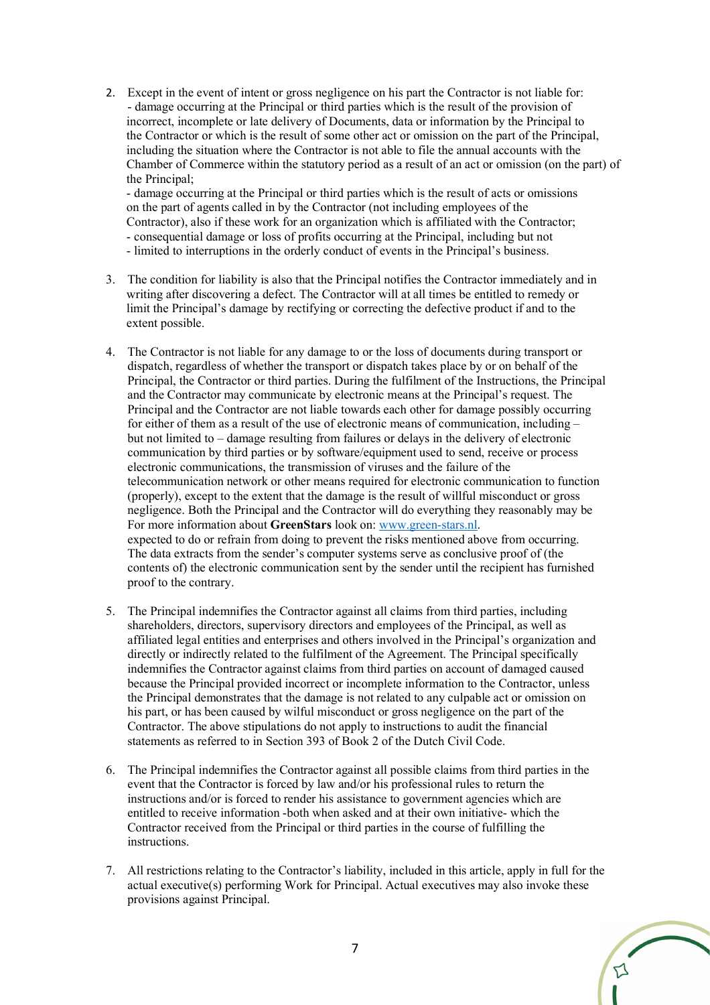2. Except in the event of intent or gross negligence on his part the Contractor is not liable for: - damage occurring at the Principal or third parties which is the result of the provision of incorrect, incomplete or late delivery of Documents, data or information by the Principal to the Contractor or which is the result of some other act or omission on the part of the Principal, including the situation where the Contractor is not able to file the annual accounts with the Chamber of Commerce within the statutory period as a result of an act or omission (on the part) of the Principal;

- damage occurring at the Principal or third parties which is the result of acts or omissions on the part of agents called in by the Contractor (not including employees of the Contractor), also if these work for an organization which is affiliated with the Contractor; - consequential damage or loss of profits occurring at the Principal, including but not

- limited to interruptions in the orderly conduct of events in the Principal's business.
- 3. The condition for liability is also that the Principal notifies the Contractor immediately and in writing after discovering a defect. The Contractor will at all times be entitled to remedy or limit the Principal's damage by rectifying or correcting the defective product if and to the extent possible.
- 4. The Contractor is not liable for any damage to or the loss of documents during transport or dispatch, regardless of whether the transport or dispatch takes place by or on behalf of the Principal, the Contractor or third parties. During the fulfilment of the Instructions, the Principal and the Contractor may communicate by electronic means at the Principal's request. The Principal and the Contractor are not liable towards each other for damage possibly occurring for either of them as a result of the use of electronic means of communication, including – but not limited to – damage resulting from failures or delays in the delivery of electronic communication by third parties or by software/equipment used to send, receive or process electronic communications, the transmission of viruses and the failure of the telecommunication network or other means required for electronic communication to function (properly), except to the extent that the damage is the result of willful misconduct or gross negligence. Both the Principal and the Contractor will do everything they reasonably may be For more information about **GreenStars** look on: www.green-stars.nl. expected to do or refrain from doing to prevent the risks mentioned above from occurring. The data extracts from the sender's computer systems serve as conclusive proof of (the contents of) the electronic communication sent by the sender until the recipient has furnished proof to the contrary.
- 5. The Principal indemnifies the Contractor against all claims from third parties, including shareholders, directors, supervisory directors and employees of the Principal, as well as affiliated legal entities and enterprises and others involved in the Principal's organization and directly or indirectly related to the fulfilment of the Agreement. The Principal specifically indemnifies the Contractor against claims from third parties on account of damaged caused because the Principal provided incorrect or incomplete information to the Contractor, unless the Principal demonstrates that the damage is not related to any culpable act or omission on his part, or has been caused by wilful misconduct or gross negligence on the part of the Contractor. The above stipulations do not apply to instructions to audit the financial statements as referred to in Section 393 of Book 2 of the Dutch Civil Code.
- 6. The Principal indemnifies the Contractor against all possible claims from third parties in the event that the Contractor is forced by law and/or his professional rules to return the instructions and/or is forced to render his assistance to government agencies which are entitled to receive information -both when asked and at their own initiative- which the Contractor received from the Principal or third parties in the course of fulfilling the instructions.
- 7. All restrictions relating to the Contractor's liability, included in this article, apply in full for the actual executive(s) performing Work for Principal. Actual executives may also invoke these provisions against Principal.

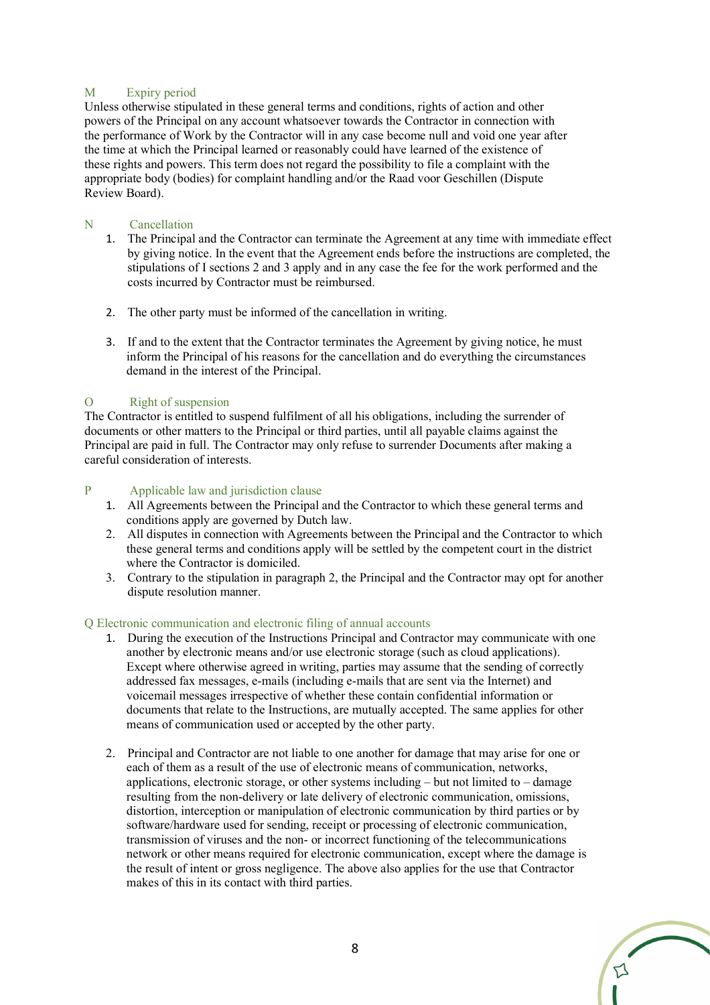# M Expiry period

Unless otherwise stipulated in these general terms and conditions, rights of action and other powers of the Principal on any account whatsoever towards the Contractor in connection with the performance of Work by the Contractor will in any case become null and void one year after the time at which the Principal learned or reasonably could have learned of the existence of these rights and powers. This term does not regard the possibility to file a complaint with the appropriate body (bodies) for complaint handling and/or the Raad voor Geschillen (Dispute Review Board).

# N Cancellation

- 1. The Principal and the Contractor can terminate the Agreement at any time with immediate effect by giving notice. In the event that the Agreement ends before the instructions are completed, the stipulations of I sections 2 and 3 apply and in any case the fee for the work performed and the costs incurred by Contractor must be reimbursed.
- 2. The other party must be informed of the cancellation in writing.
- 3. If and to the extent that the Contractor terminates the Agreement by giving notice, he must inform the Principal of his reasons for the cancellation and do everything the circumstances demand in the interest of the Principal.

# O Right of suspension

The Contractor is entitled to suspend fulfilment of all his obligations, including the surrender of documents or other matters to the Principal or third parties, until all payable claims against the Principal are paid in full. The Contractor may only refuse to surrender Documents after making a careful consideration of interests.

# P Applicable law and jurisdiction clause

- 1. All Agreements between the Principal and the Contractor to which these general terms and conditions apply are governed by Dutch law.
- 2. All disputes in connection with Agreements between the Principal and the Contractor to which these general terms and conditions apply will be settled by the competent court in the district where the Contractor is domiciled.
- 3. Contrary to the stipulation in paragraph 2, the Principal and the Contractor may opt for another dispute resolution manner.

### Q Electronic communication and electronic filing of annual accounts

- 1. During the execution of the Instructions Principal and Contractor may communicate with one another by electronic means and/or use electronic storage (such as cloud applications). Except where otherwise agreed in writing, parties may assume that the sending of correctly addressed fax messages, e-mails (including e-mails that are sent via the Internet) and voicemail messages irrespective of whether these contain confidential information or documents that relate to the Instructions, are mutually accepted. The same applies for other means of communication used or accepted by the other party.
- 2. Principal and Contractor are not liable to one another for damage that may arise for one or each of them as a result of the use of electronic means of communication, networks, applications, electronic storage, or other systems including – but not limited to – damage resulting from the non-delivery or late delivery of electronic communication, omissions, distortion, interception or manipulation of electronic communication by third parties or by software/hardware used for sending, receipt or processing of electronic communication, transmission of viruses and the non- or incorrect functioning of the telecommunications network or other means required for electronic communication, except where the damage is the result of intent or gross negligence. The above also applies for the use that Contractor makes of this in its contact with third parties.